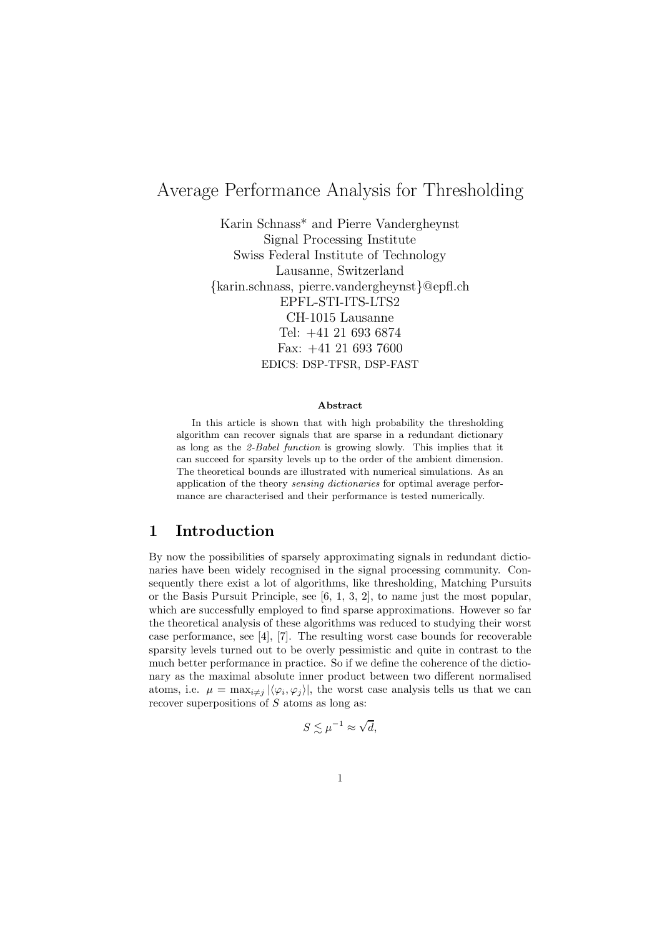# Average Performance Analysis for Thresholding

Karin Schnass\* and Pierre Vandergheynst Signal Processing Institute Swiss Federal Institute of Technology Lausanne, Switzerland {karin.schnass, pierre.vandergheynst}@epfl.ch EPFL-STI-ITS-LTS2 CH-1015 Lausanne Tel: +41 21 693 6874 Fax: +41 21 693 7600 EDICS: DSP-TFSR, DSP-FAST

#### Abstract

In this article is shown that with high probability the thresholding algorithm can recover signals that are sparse in a redundant dictionary as long as the 2-Babel function is growing slowly. This implies that it can succeed for sparsity levels up to the order of the ambient dimension. The theoretical bounds are illustrated with numerical simulations. As an application of the theory sensing dictionaries for optimal average performance are characterised and their performance is tested numerically.

#### 1 Introduction

By now the possibilities of sparsely approximating signals in redundant dictionaries have been widely recognised in the signal processing community. Consequently there exist a lot of algorithms, like thresholding, Matching Pursuits or the Basis Pursuit Principle, see [6, 1, 3, 2], to name just the most popular, which are successfully employed to find sparse approximations. However so far the theoretical analysis of these algorithms was reduced to studying their worst case performance, see [4], [7]. The resulting worst case bounds for recoverable sparsity levels turned out to be overly pessimistic and quite in contrast to the much better performance in practice. So if we define the coherence of the dictionary as the maximal absolute inner product between two different normalised atoms, i.e.  $\mu = \max_{i \neq j} |\langle \varphi_i, \varphi_j \rangle|$ , the worst case analysis tells us that we can recover superpositions of  $S$  atoms as long as:

$$
S\lesssim \mu^{-1}\approx \sqrt{d},
$$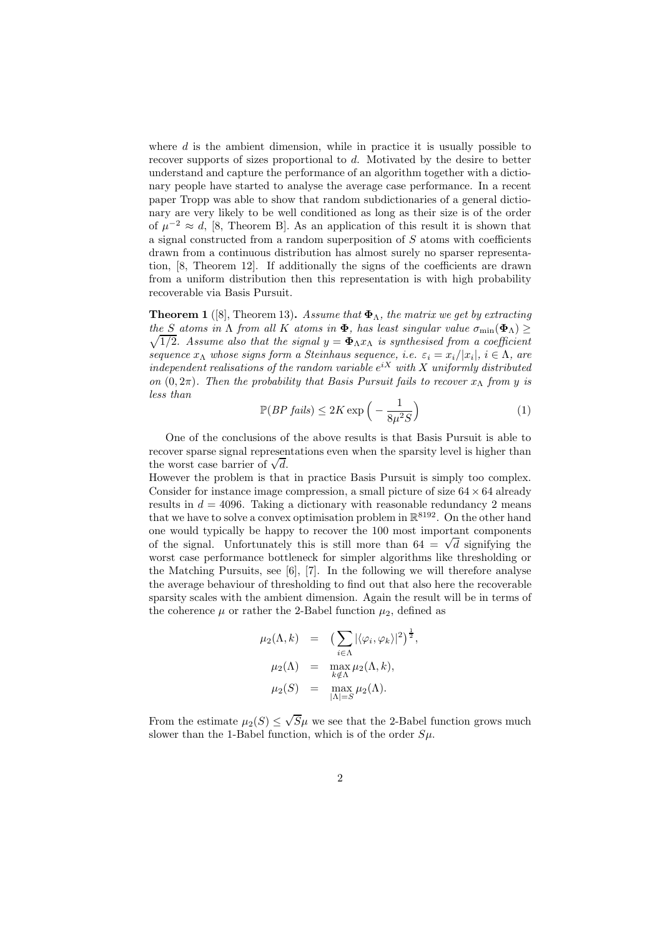where  $d$  is the ambient dimension, while in practice it is usually possible to recover supports of sizes proportional to d. Motivated by the desire to better understand and capture the performance of an algorithm together with a dictionary people have started to analyse the average case performance. In a recent paper Tropp was able to show that random subdictionaries of a general dictionary are very likely to be well conditioned as long as their size is of the order of  $\mu^{-2} \approx d$ , [8, Theorem B]. As an application of this result it is shown that a signal constructed from a random superposition of  $S$  atoms with coefficients drawn from a continuous distribution has almost surely no sparser representation, [8, Theorem 12]. If additionally the signs of the coefficients are drawn from a uniform distribution then this representation is with high probability recoverable via Basis Pursuit.

**Theorem 1** ([8], Theorem 13). Assume that  $\Phi_{\Lambda}$ , the matrix we get by extracting  $\sqrt{1/2}$ . Assume also that the signal  $y = \mathbf{\Phi}_{\Lambda} x_{\Lambda}$  is synthesised from a coefficient the S atoms in  $\Lambda$  from all K atoms in  $\Phi$ , has least singular value  $\sigma_{\min}(\Phi_{\Lambda}) \geq$ sequence  $x_{\Lambda}$  whose signs form a Steinhaus sequence, i.e.  $\varepsilon_i = x_i/|x_i|, i \in \Lambda$ , are independent realisations of the random variable  $e^{iX}$  with X uniformly distributed on  $(0, 2\pi)$ . Then the probability that Basis Pursuit fails to recover  $x_{\Lambda}$  from y is less than

$$
\mathbb{P}(BP\ fails) \le 2K \exp\left(-\frac{1}{8\mu^2 S}\right) \tag{1}
$$

One of the conclusions of the above results is that Basis Pursuit is able to recover sparse signal representations even when the sparsity level is higher than the worst case barrier of  $\sqrt{d}$ .

However the problem is that in practice Basis Pursuit is simply too complex. Consider for instance image compression, a small picture of size  $64 \times 64$  already results in  $d = 4096$ . Taking a dictionary with reasonable redundancy 2 means that we have to solve a convex optimisation problem in  $\mathbb{R}^{8192}$ . On the other hand one would typically be happy to recover the 100 most important components of the signal. Unfortunately this is still more than  $64 = \sqrt{d}$  signifying the worst case performance bottleneck for simpler algorithms like thresholding or the Matching Pursuits, see  $[6]$ ,  $[7]$ . In the following we will therefore analyse the average behaviour of thresholding to find out that also here the recoverable sparsity scales with the ambient dimension. Again the result will be in terms of the coherence  $\mu$  or rather the 2-Babel function  $\mu_2$ , defined as

$$
\mu_2(\Lambda, k) = \left(\sum_{i \in \Lambda} |\langle \varphi_i, \varphi_k \rangle|^2\right)^{\frac{1}{2}},
$$
  
\n
$$
\mu_2(\Lambda) = \max_{k \notin \Lambda} \mu_2(\Lambda, k),
$$
  
\n
$$
\mu_2(S) = \max_{|\Lambda| = S} \mu_2(\Lambda).
$$

From the estimate  $\mu_2(S) \leq \sqrt{S}\mu$  we see that the 2-Babel function grows much slower than the 1-Babel function, which is of the order  $S\mu$ .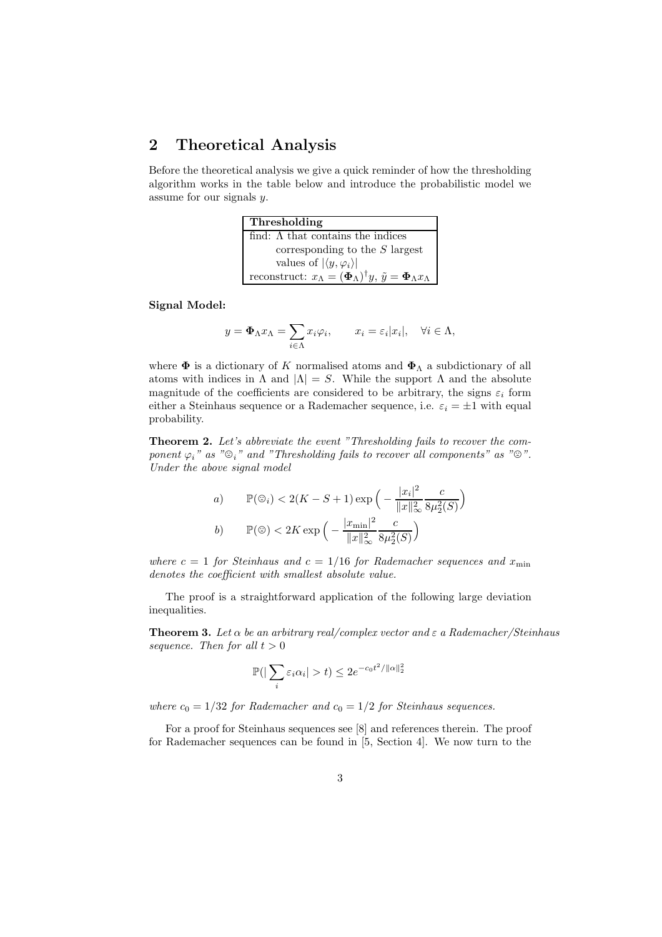## 2 Theoretical Analysis

Before the theoretical analysis we give a quick reminder of how the thresholding algorithm works in the table below and introduce the probabilistic model we assume for our signals y.

| Thresholding                                                                                                           |
|------------------------------------------------------------------------------------------------------------------------|
| find: $\Lambda$ that contains the indices                                                                              |
| corresponding to the $S$ largest                                                                                       |
| values of $ \langle y, \varphi_i \rangle $                                                                             |
| reconstruct: $x_{\Lambda} = (\mathbf{\Phi}_{\Lambda})^{\dagger} y$ , $\tilde{y} = \mathbf{\Phi}_{\Lambda} x_{\Lambda}$ |

Signal Model:

$$
y = \Phi_{\Lambda} x_{\Lambda} = \sum_{i \in \Lambda} x_i \varphi_i, \qquad x_i = \varepsilon_i |x_i|, \quad \forall i \in \Lambda,
$$

where  $\Phi$  is a dictionary of K normalised atoms and  $\Phi_{\Lambda}$  a subdictionary of all atoms with indices in  $\Lambda$  and  $|\Lambda| = S$ . While the support  $\Lambda$  and the absolute magnitude of the coefficients are considered to be arbitrary, the signs  $\varepsilon_i$  form either a Steinhaus sequence or a Rademacher sequence, i.e.  $\varepsilon_i = \pm 1$  with equal probability.

Theorem 2. Let's abbreviate the event "Thresholding fails to recover the component  $\varphi_i$ " as " $\mathfrak{D}_i$ " and "Thresholding fails to recover all components" as " $\mathfrak{D}$ ". Under the above signal model

a) 
$$
\mathbb{P}(\mathbb{G}_i) < 2(K - S + 1) \exp\left(-\frac{|x_i|^2}{\|x\|_{\infty}^2} \frac{c}{8\mu_2^2(S)}\right)
$$
\nb) 
$$
\mathbb{P}(\mathbb{G}) < 2K \exp\left(-\frac{|x_{\min}|^2}{\|x\|_{\infty}^2} \frac{c}{8\mu_2^2(S)}\right)
$$

where  $c = 1$  for Steinhaus and  $c = 1/16$  for Rademacher sequences and  $x_{\min}$ denotes the coefficient with smallest absolute value.

The proof is a straightforward application of the following large deviation inequalities.

**Theorem 3.** Let  $\alpha$  be an arbitrary real/complex vector and  $\varepsilon$  a Rademacher/Steinhaus sequence. Then for all  $t > 0$ 

$$
\mathbb{P}(|\sum_{i} \varepsilon_i \alpha_i| > t) \le 2e^{-c_0 t^2 / ||\alpha||_2^2}
$$

where  $c_0 = 1/32$  for Rademacher and  $c_0 = 1/2$  for Steinhaus sequences.

For a proof for Steinhaus sequences see [8] and references therein. The proof for Rademacher sequences can be found in [5, Section 4]. We now turn to the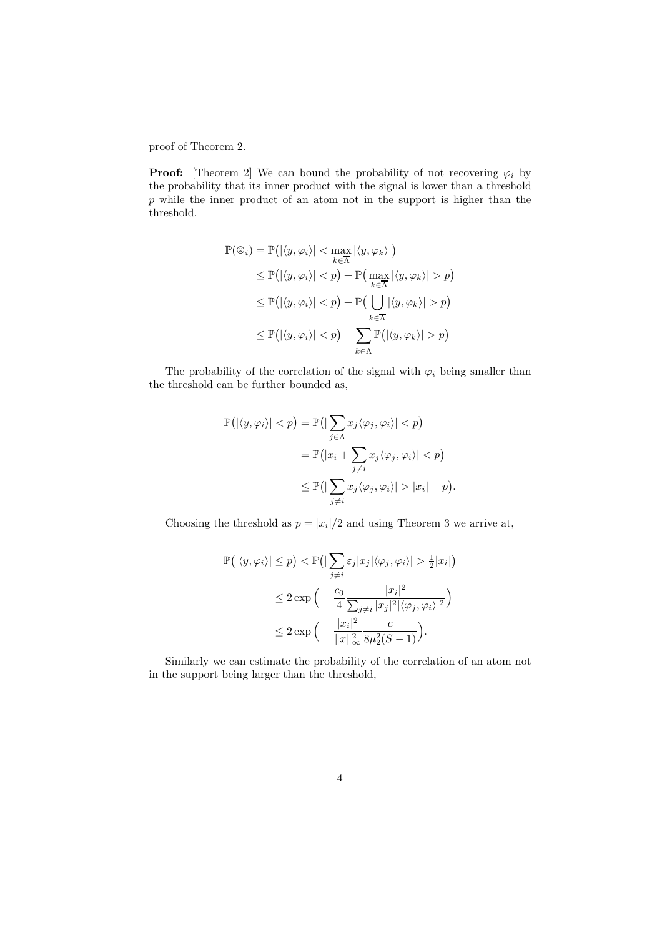proof of Theorem 2.

**Proof:** [Theorem 2] We can bound the probability of not recovering  $\varphi_i$  by the probability that its inner product with the signal is lower than a threshold p while the inner product of an atom not in the support is higher than the threshold.

$$
\mathbb{P}(\mathfrak{D}_i) = \mathbb{P}(|\langle y, \varphi_i \rangle| < \max_{k \in \overline{\Lambda}} |\langle y, \varphi_k \rangle|)
$$
\n
$$
\leq \mathbb{P}(|\langle y, \varphi_i \rangle| < p) + \mathbb{P}(\max_{k \in \overline{\Lambda}} |\langle y, \varphi_k \rangle| > p)
$$
\n
$$
\leq \mathbb{P}(|\langle y, \varphi_i \rangle| < p) + \mathbb{P}(\bigcup_{k \in \overline{\Lambda}} |\langle y, \varphi_k \rangle| > p)
$$
\n
$$
\leq \mathbb{P}(|\langle y, \varphi_i \rangle| < p) + \sum_{k \in \overline{\Lambda}} \mathbb{P}(|\langle y, \varphi_k \rangle| > p)
$$

The probability of the correlation of the signal with  $\varphi_i$  being smaller than the threshold can be further bounded as,

$$
\mathbb{P}(|\langle y, \varphi_i \rangle| < p) = \mathbb{P}(|\sum_{j \in \Lambda} x_j \langle \varphi_j, \varphi_i \rangle| < p) \n= \mathbb{P}(|x_i + \sum_{j \neq i} x_j \langle \varphi_j, \varphi_i \rangle| < p) \n\leq \mathbb{P}(|\sum_{j \neq i} x_j \langle \varphi_j, \varphi_i \rangle| > |x_i| - p).
$$

Choosing the threshold as  $p = |x_i|/2$  and using Theorem 3 we arrive at,

$$
\mathbb{P}(|\langle y, \varphi_i \rangle| \le p) < \mathbb{P}\left(|\sum_{j \ne i} \varepsilon_j |x_j| \langle \varphi_j, \varphi_i \rangle| > \frac{1}{2} |x_i|\right) \\
&\le 2 \exp\left(-\frac{c_0}{4} \frac{|x_i|^2}{\sum_{j \ne i} |x_j|^2 |\langle \varphi_j, \varphi_i \rangle|^2}\right) \\
&\le 2 \exp\left(-\frac{|x_i|^2}{\|x\|_{\infty}^2} \frac{c}{8\mu_2^2(S-1)}\right).
$$

Similarly we can estimate the probability of the correlation of an atom not in the support being larger than the threshold,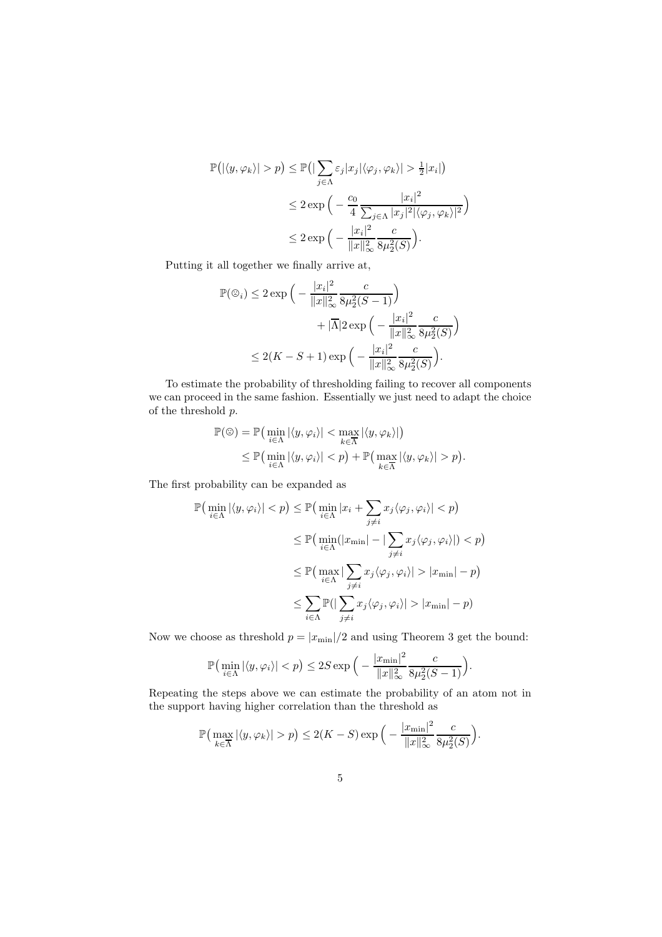$$
\mathbb{P}(|\langle y, \varphi_k \rangle| > p) \le \mathbb{P}(|\sum_{j \in \Lambda} \varepsilon_j |x_j| \langle \varphi_j, \varphi_k \rangle| > \frac{1}{2} |x_i|)
$$
  

$$
\le 2 \exp\left(-\frac{c_0}{4} \frac{|x_i|^2}{\sum_{j \in \Lambda} |x_j|^2 |\langle \varphi_j, \varphi_k \rangle|^2}\right)
$$
  

$$
\le 2 \exp\left(-\frac{|x_i|^2}{\|x\|_{\infty}^2} \frac{c}{8\mu_2^2(S)}\right).
$$

Putting it all together we finally arrive at,

$$
\mathbb{P}(\mathbb{G}_{i}) \leq 2 \exp\Big(-\frac{|x_{i}|^{2}}{\|x\|_{\infty}^{2}} \frac{c}{8\mu_{2}^{2}(S-1)}\Big) + |\overline{\Lambda}| 2 \exp\Big(-\frac{|x_{i}|^{2}}{\|x\|_{\infty}^{2}} \frac{c}{8\mu_{2}^{2}(S)}\Big) \leq 2(K-S+1) \exp\Big(-\frac{|x_{i}|^{2}}{\|x\|_{\infty}^{2}} \frac{c}{8\mu_{2}^{2}(S)}\Big).
$$

To estimate the probability of thresholding failing to recover all components we can proceed in the same fashion. Essentially we just need to adapt the choice of the threshold  $p$ .

$$
\mathbb{P}(\mathbb{G}) = \mathbb{P}\left(\min_{i \in \Lambda} |\langle y, \varphi_i \rangle| < \max_{k \in \overline{\Lambda}} |\langle y, \varphi_k \rangle|\right) \\
\leq \mathbb{P}\left(\min_{i \in \Lambda} |\langle y, \varphi_i \rangle| < p\right) + \mathbb{P}\left(\max_{k \in \overline{\Lambda}} |\langle y, \varphi_k \rangle| > p\right).
$$

The first probability can be expanded as

$$
\mathbb{P}\left(\min_{i\in\Lambda} |\langle y, \varphi_i \rangle| < p\right) \le \mathbb{P}\left(\min_{i\in\Lambda} |x_i + \sum_{j\neq i} x_j \langle \varphi_j, \varphi_i \rangle| < p\right)
$$
\n
$$
\le \mathbb{P}\left(\min_{i\in\Lambda} (|x_{\min}| - |\sum_{j\neq i} x_j \langle \varphi_j, \varphi_i \rangle|) < p\right)
$$
\n
$$
\le \mathbb{P}\left(\max_{i\in\Lambda} |\sum_{j\neq i} x_j \langle \varphi_j, \varphi_i \rangle| > |x_{\min}| - p\right)
$$
\n
$$
\le \sum_{i\in\Lambda} \mathbb{P}\left(|\sum_{j\neq i} x_j \langle \varphi_j, \varphi_i \rangle| > |x_{\min}| - p\right)
$$

Now we choose as threshold  $p = |x_{\text{min}}|/2$  and using Theorem 3 get the bound:

$$
\mathbb{P}\left(\min_{i\in\Lambda}|\langle y,\varphi_i\rangle|
$$

Repeating the steps above we can estimate the probability of an atom not in the support having higher correlation than the threshold as

$$
\mathbb{P}\left(\max_{k\in\overline{\Lambda}}|\langle y,\varphi_k\rangle|>p\right)\leq 2(K-S)\exp\Big(-\frac{|x_{\min}|^2}{\|x\|_{\infty}^2}\frac{c}{8\mu_2^2(S)}\Big).
$$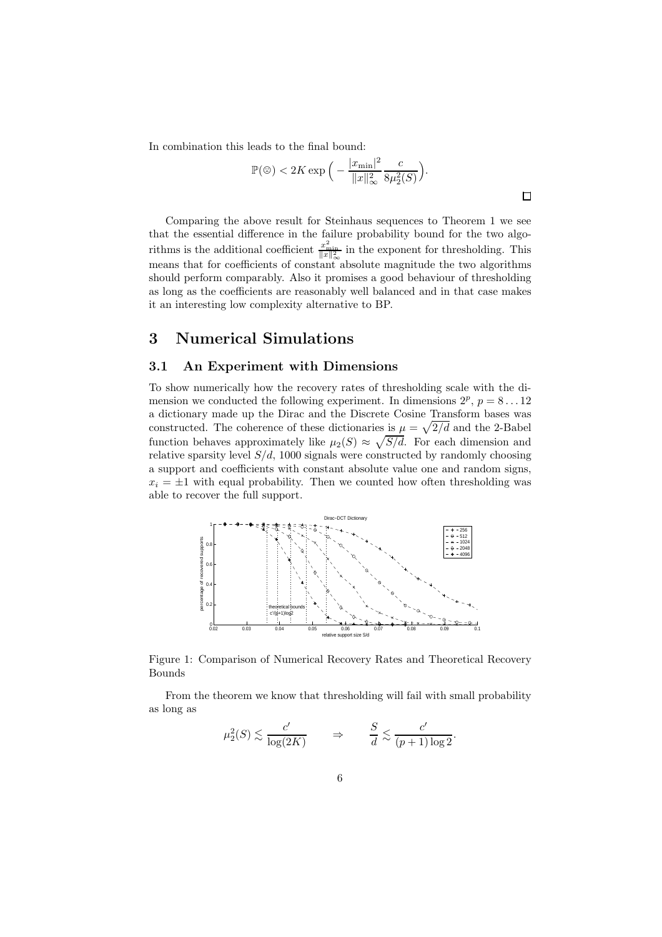In combination this leads to the final bound:

$$
\mathbb{P}(\mathfrak{D}) < 2K \exp\Big(-\frac{|x_{\min}|^2}{\|x\|_{\infty}^2} \frac{c}{8\mu_2^2(S)}\Big).
$$

 $\Box$ 

Comparing the above result for Steinhaus sequences to Theorem 1 we see that the essential difference in the failure probability bound for the two algorithms is the additional coefficient  $\frac{x_{\min}^2}{\|x\|_{\infty}^2}$  in the exponent for thresholding. This means that for coefficients of constant absolute magnitude the two algorithms should perform comparably. Also it promises a good behaviour of thresholding as long as the coefficients are reasonably well balanced and in that case makes it an interesting low complexity alternative to BP.

## 3 Numerical Simulations

#### 3.1 An Experiment with Dimensions

To show numerically how the recovery rates of thresholding scale with the dimension we conducted the following experiment. In dimensions  $2^p$ ,  $p = 8...12$ a dictionary made up the Dirac and the Discrete Cosine Transform bases was constructed. The coherence of these dictionaries is  $\mu = \sqrt{2/d}$  and the 2-Babel function behaves approximately like  $\mu_2(S) \approx \sqrt{S/d}$ . For each dimension and relative sparsity level  $S/d$ , 1000 signals were constructed by randomly choosing a support and coefficients with constant absolute value one and random signs,  $x_i = \pm 1$  with equal probability. Then we counted how often thresholding was able to recover the full support.



Figure 1: Comparison of Numerical Recovery Rates and Theoretical Recovery Bounds

From the theorem we know that thresholding will fail with small probability as long as

$$
\mu_2^2(S) \lesssim \frac{c'}{\log(2K)} \qquad \Rightarrow \qquad \frac{S}{d} \lesssim \frac{c'}{(p+1)\log 2}.
$$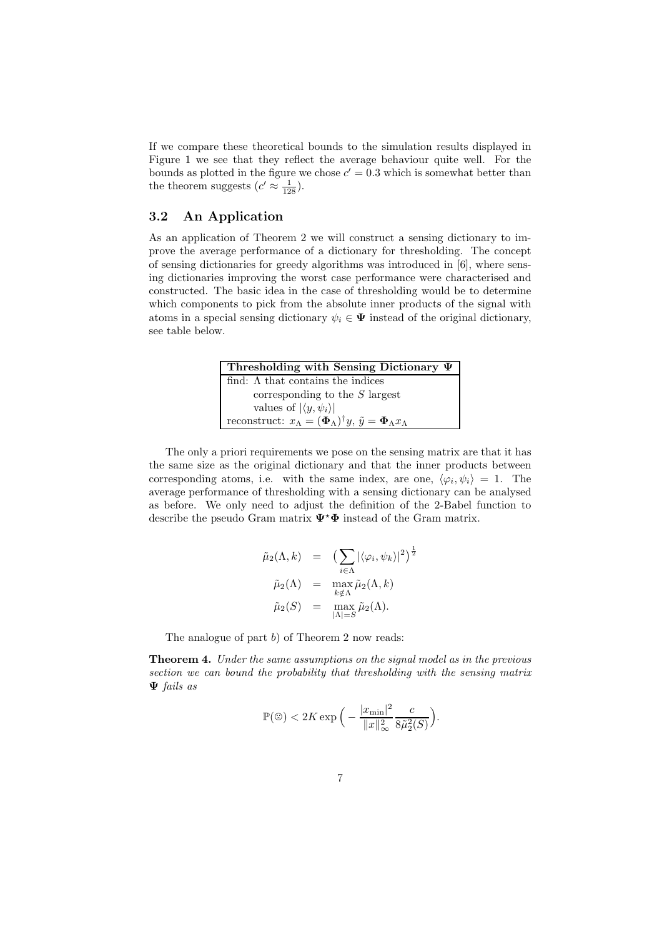If we compare these theoretical bounds to the simulation results displayed in Figure 1 we see that they reflect the average behaviour quite well. For the bounds as plotted in the figure we chose  $c' = 0.3$  which is somewhat better than the theorem suggests  $(c' \approx \frac{1}{128})$ .

#### 3.2 An Application

As an application of Theorem 2 we will construct a sensing dictionary to improve the average performance of a dictionary for thresholding. The concept of sensing dictionaries for greedy algorithms was introduced in [6], where sensing dictionaries improving the worst case performance were characterised and constructed. The basic idea in the case of thresholding would be to determine which components to pick from the absolute inner products of the signal with atoms in a special sensing dictionary  $\psi_i \in \Psi$  instead of the original dictionary, see table below.

| Thresholding with Sensing Dictionary $\Psi$                                                                            |  |  |  |  |
|------------------------------------------------------------------------------------------------------------------------|--|--|--|--|
| find: $\Lambda$ that contains the indices                                                                              |  |  |  |  |
| corresponding to the $S$ largest                                                                                       |  |  |  |  |
| values of $ \langle y, \psi_i \rangle $                                                                                |  |  |  |  |
| reconstruct: $x_{\Lambda} = (\mathbf{\Phi}_{\Lambda})^{\dagger} y$ , $\tilde{y} = \mathbf{\Phi}_{\Lambda} x_{\Lambda}$ |  |  |  |  |

The only a priori requirements we pose on the sensing matrix are that it has the same size as the original dictionary and that the inner products between corresponding atoms, i.e. with the same index, are one,  $\langle \varphi_i, \psi_i \rangle = 1$ . The average performance of thresholding with a sensing dictionary can be analysed as before. We only need to adjust the definition of the 2-Babel function to describe the pseudo Gram matrix  $\Psi^* \Phi$  instead of the Gram matrix.

$$
\tilde{\mu}_2(\Lambda, k) = \left( \sum_{i \in \Lambda} |\langle \varphi_i, \psi_k \rangle|^2 \right)^{\frac{1}{2}}
$$

$$
\tilde{\mu}_2(\Lambda) = \max_{k \notin \Lambda} \tilde{\mu}_2(\Lambda, k)
$$

$$
\tilde{\mu}_2(S) = \max_{|\Lambda| = S} \tilde{\mu}_2(\Lambda).
$$

The analogue of part b) of Theorem 2 now reads:

Theorem 4. Under the same assumptions on the signal model as in the previous section we can bound the probability that thresholding with the sensing matrix Ψ fails as

$$
\mathbb{P}(\mathfrak{D}) < 2K \exp\Big(-\frac{|x_{\min}|^2}{\|x\|_{\infty}^2} \frac{c}{8\tilde{\mu}_2^2(S)}\Big).
$$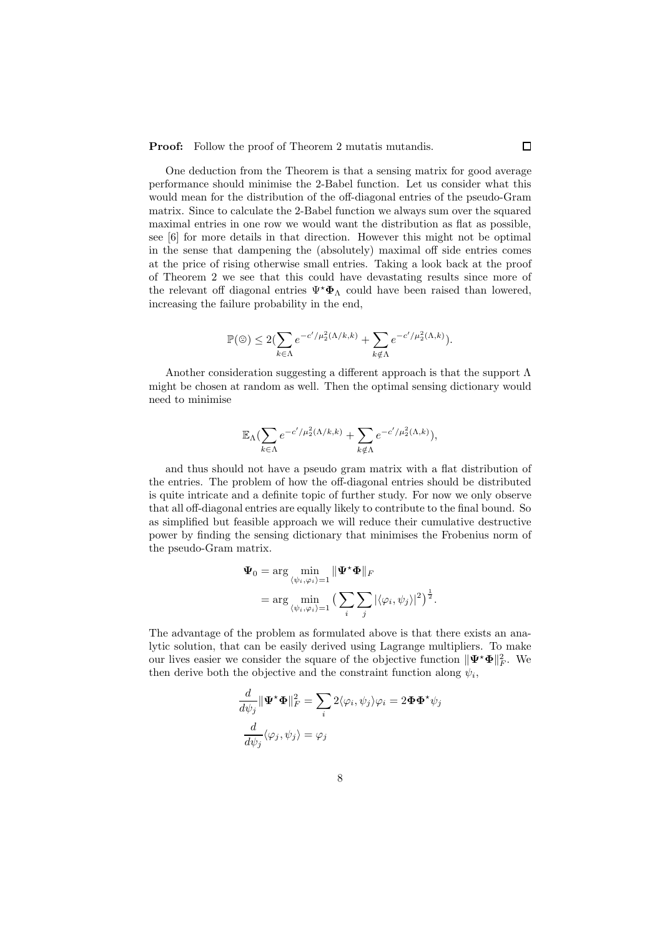Proof: Follow the proof of Theorem 2 mutatis mutandis.

One deduction from the Theorem is that a sensing matrix for good average performance should minimise the 2-Babel function. Let us consider what this would mean for the distribution of the off-diagonal entries of the pseudo-Gram matrix. Since to calculate the 2-Babel function we always sum over the squared maximal entries in one row we would want the distribution as flat as possible, see [6] for more details in that direction. However this might not be optimal in the sense that dampening the (absolutely) maximal off side entries comes at the price of rising otherwise small entries. Taking a look back at the proof of Theorem 2 we see that this could have devastating results since more of the relevant off diagonal entries  $\Psi^* \Phi_\Lambda$  could have been raised than lowered, increasing the failure probability in the end,

$$
\mathbb{P}(\mathfrak{D}) \le 2(\sum_{k \in \Lambda} e^{-c'/\mu_2^2(\Lambda/k, k)} + \sum_{k \notin \Lambda} e^{-c'/\mu_2^2(\Lambda, k)}).
$$

Another consideration suggesting a different approach is that the support Λ might be chosen at random as well. Then the optimal sensing dictionary would need to minimise

$$
\mathbb{E}_{\Lambda} \left( \sum_{k \in \Lambda} e^{-c'/\mu_2^2(\Lambda/k, k)} + \sum_{k \notin \Lambda} e^{-c'/\mu_2^2(\Lambda, k)} \right),
$$

and thus should not have a pseudo gram matrix with a flat distribution of the entries. The problem of how the off-diagonal entries should be distributed is quite intricate and a definite topic of further study. For now we only observe that all off-diagonal entries are equally likely to contribute to the final bound. So as simplified but feasible approach we will reduce their cumulative destructive power by finding the sensing dictionary that minimises the Frobenius norm of the pseudo-Gram matrix.

$$
\Psi_0 = \arg\min_{\langle \psi_i, \varphi_i \rangle = 1} \|\Psi^{\star}\Phi\|_F
$$
  
= 
$$
\arg\min_{\langle \psi_i, \varphi_i \rangle = 1} \left(\sum_i \sum_j |\langle \varphi_i, \psi_j \rangle|^2\right)^{\frac{1}{2}}.
$$

The advantage of the problem as formulated above is that there exists an analytic solution, that can be easily derived using Lagrange multipliers. To make our lives easier we consider the square of the objective function  $\|\Psi^{\star}\Phi\|_F^2$ . We then derive both the objective and the constraint function along  $\psi_i$ ,

$$
\frac{d}{d\psi_j} \|\Psi^{\star}\Phi\|_F^2 = \sum_i 2\langle \varphi_i, \psi_j \rangle \varphi_i = 2\Phi \Phi^{\star}\psi_j
$$

$$
\frac{d}{d\psi_j} \langle \varphi_j, \psi_j \rangle = \varphi_j
$$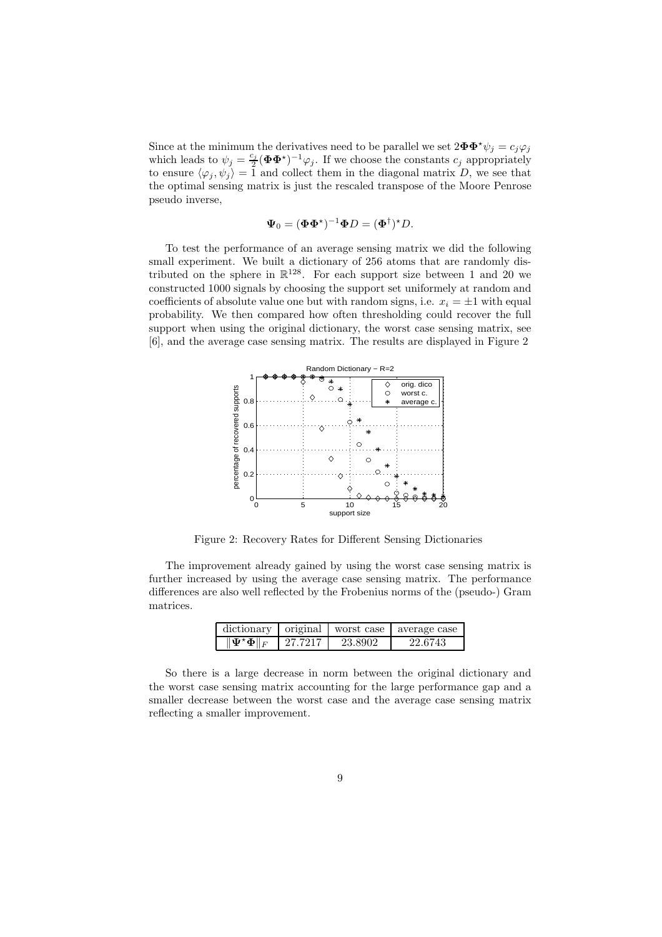Since at the minimum the derivatives need to be parallel we set  $2\mathbf{\Phi}\mathbf{\Phi}^{\star}\psi_j = c_j\varphi_j$ which leads to  $\psi_j = \frac{c_j}{2}$  $\frac{c_j}{2}(\boldsymbol{\Phi}\boldsymbol{\Phi}^{\star})^{-1}\varphi_j$ . If we choose the constants  $c_j$  appropriately to ensure  $\langle \varphi_j , \psi_j \rangle = 1$  and collect them in the diagonal matrix D, we see that the optimal sensing matrix is just the rescaled transpose of the Moore Penrose pseudo inverse,

$$
\mathbf{\Psi}_0 = (\mathbf{\Phi} \mathbf{\Phi}^*)^{-1} \mathbf{\Phi} D = (\mathbf{\Phi}^\dagger)^* D.
$$

To test the performance of an average sensing matrix we did the following small experiment. We built a dictionary of 256 atoms that are randomly distributed on the sphere in  $\mathbb{R}^{128}$ . For each support size between 1 and 20 we constructed 1000 signals by choosing the support set uniformely at random and coefficients of absolute value one but with random signs, i.e.  $x_i = \pm 1$  with equal probability. We then compared how often thresholding could recover the full support when using the original dictionary, the worst case sensing matrix, see [6], and the average case sensing matrix. The results are displayed in Figure 2



Figure 2: Recovery Rates for Different Sensing Dictionaries

The improvement already gained by using the worst case sensing matrix is further increased by using the average case sensing matrix. The performance differences are also well reflected by the Frobenius norms of the (pseudo-) Gram matrices.

| dictionary                                     | original | worst case | average case |
|------------------------------------------------|----------|------------|--------------|
| $\ \mathbf{\Psi}^{\star}\mathbf{\Phi}\ _{F}$ . | 97.7917  | 23.8902    | 22.6743      |

So there is a large decrease in norm between the original dictionary and the worst case sensing matrix accounting for the large performance gap and a smaller decrease between the worst case and the average case sensing matrix reflecting a smaller improvement.